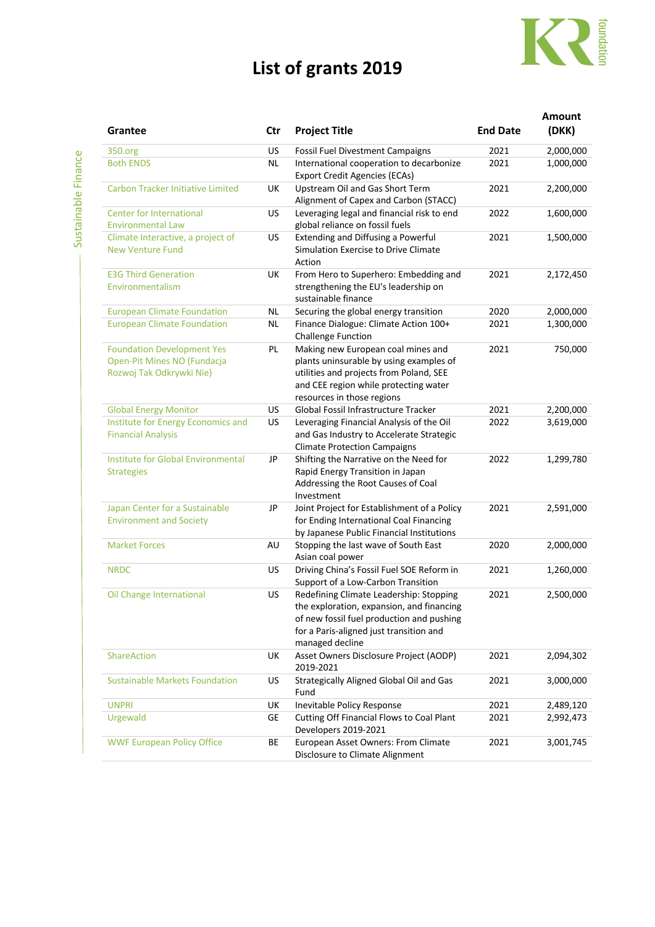## **List of grants 2019**



| Grantee                                                                                      | Ctr       | <b>Project Title</b>                                                                                                                                                                            | <b>End Date</b> | <b>Amount</b><br>(DKK) |
|----------------------------------------------------------------------------------------------|-----------|-------------------------------------------------------------------------------------------------------------------------------------------------------------------------------------------------|-----------------|------------------------|
| 350.org                                                                                      | US        | <b>Fossil Fuel Divestment Campaigns</b>                                                                                                                                                         | 2021            | 2,000,000              |
| <b>Both ENDS</b>                                                                             | ΝL        | International cooperation to decarbonize<br><b>Export Credit Agencies (ECAs)</b>                                                                                                                | 2021            | 1,000,000              |
| <b>Carbon Tracker Initiative Limited</b>                                                     | UK        | Upstream Oil and Gas Short Term<br>Alignment of Capex and Carbon (STACC)                                                                                                                        | 2021            | 2,200,000              |
| <b>Center for International</b><br><b>Environmental Law</b>                                  | <b>US</b> | Leveraging legal and financial risk to end<br>global reliance on fossil fuels                                                                                                                   | 2022            | 1,600,000              |
| Climate Interactive, a project of<br><b>New Venture Fund</b>                                 | US        | Extending and Diffusing a Powerful<br>Simulation Exercise to Drive Climate<br>Action                                                                                                            | 2021            | 1,500,000              |
| <b>E3G Third Generation</b><br>Environmentalism                                              | UK        | From Hero to Superhero: Embedding and<br>strengthening the EU's leadership on<br>sustainable finance                                                                                            | 2021            | 2,172,450              |
| <b>European Climate Foundation</b>                                                           | <b>NL</b> | Securing the global energy transition                                                                                                                                                           | 2020            | 2,000,000              |
| <b>European Climate Foundation</b>                                                           | <b>NL</b> | Finance Dialogue: Climate Action 100+<br><b>Challenge Function</b>                                                                                                                              | 2021            | 1,300,000              |
| <b>Foundation Development Yes</b><br>Open-Pit Mines NO (Fundacja<br>Rozwoj Tak Odkrywki Nie) | PL        | Making new European coal mines and<br>plants uninsurable by using examples of<br>utilities and projects from Poland, SEE<br>and CEE region while protecting water<br>resources in those regions | 2021            | 750,000                |
| <b>Global Energy Monitor</b>                                                                 | US        | Global Fossil Infrastructure Tracker                                                                                                                                                            | 2021            | 2,200,000              |
| Institute for Energy Economics and<br><b>Financial Analysis</b>                              | US        | Leveraging Financial Analysis of the Oil<br>and Gas Industry to Accelerate Strategic<br><b>Climate Protection Campaigns</b>                                                                     | 2022            | 3,619,000              |
| <b>Institute for Global Environmental</b><br><b>Strategies</b>                               | JP        | Shifting the Narrative on the Need for<br>Rapid Energy Transition in Japan<br>Addressing the Root Causes of Coal<br>Investment                                                                  | 2022            | 1,299,780              |
| Japan Center for a Sustainable<br><b>Environment and Society</b>                             | JP        | Joint Project for Establishment of a Policy<br>for Ending International Coal Financing<br>by Japanese Public Financial Institutions                                                             | 2021            | 2,591,000              |
| <b>Market Forces</b>                                                                         | AU        | Stopping the last wave of South East<br>Asian coal power                                                                                                                                        | 2020            | 2,000,000              |
| <b>NRDC</b>                                                                                  | <b>US</b> | Driving China's Fossil Fuel SOE Reform in<br>Support of a Low-Carbon Transition                                                                                                                 | 2021            | 1,260,000              |
| Oil Change International                                                                     | <b>US</b> | Redefining Climate Leadership: Stopping<br>the exploration, expansion, and financing<br>of new fossil fuel production and pushing<br>for a Paris-aligned just transition and<br>managed decline | 2021            | 2,500,000              |
| <b>ShareAction</b>                                                                           | UK        | Asset Owners Disclosure Project (AODP)<br>2019-2021                                                                                                                                             | 2021            | 2,094,302              |
| <b>Sustainable Markets Foundation</b>                                                        | US        | Strategically Aligned Global Oil and Gas<br>Fund                                                                                                                                                | 2021            | 3,000,000              |
| <b>UNPRI</b>                                                                                 | UK        | Inevitable Policy Response                                                                                                                                                                      | 2021            | 2,489,120              |
| Urgewald                                                                                     | GE        | Cutting Off Financial Flows to Coal Plant<br>Developers 2019-2021                                                                                                                               | 2021            | 2,992,473              |
| <b>WWF European Policy Office</b>                                                            | BE        | European Asset Owners: From Climate<br>Disclosure to Climate Alignment                                                                                                                          | 2021            | 3,001,745              |